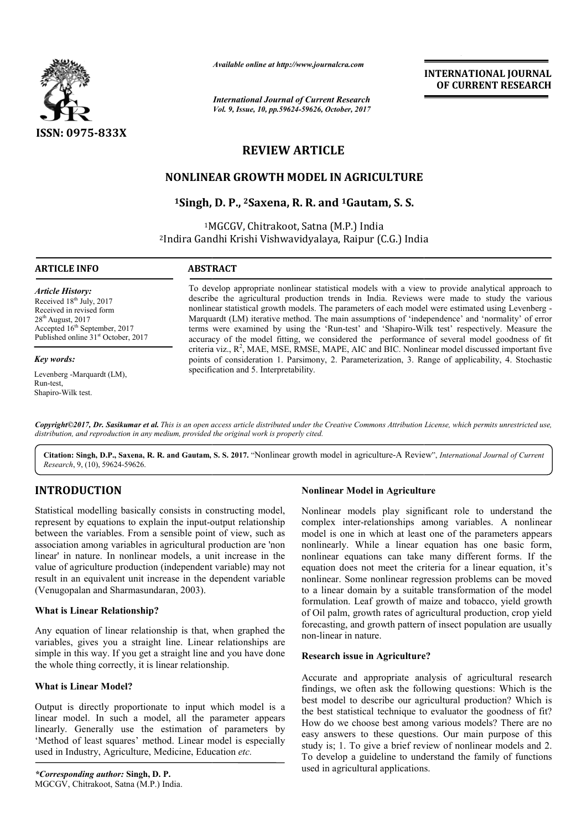

*Available online at http://www.journalcra.com*

*International Journal of Current Research Vol. 9, Issue, 10, pp.59624-59626, October, 2017*

**INTERNATIONAL JOURNAL OF CURRENT RESEARCH** 

# **REVIEW ARTICLE**

## **NONLINEAR GROWTH MODEL IN AGRICULTURE**

**1Singh, , D. P., 2Saxena, R. R. and 1Gautam, S. S.** 

1MGCGV, Chitrakoot, Satna (M.P.) India 2Indira Gandhi Krishi Vishwavidyalaya, Raipur MGCGV, Indira (C.G.) India (C.G.)

#### **ARTICLE INFO ABSTRACT**

*Article History:* Received 18<sup>th</sup> July, 2017 Received in revised form  $28<sup>th</sup>$  August, 2017 Accepted 16<sup>th</sup> September, 2017 Published online 31<sup>st</sup> October, 2017

#### *Key words:*

Levenberg -Marquardt (LM), Run-test, Shapiro-Wilk test.

To develop appropriate nonlinear statistical models with a view to provide analytical approach to To develop appropriate nonlinear statistical models with a view to provide analytical approach to describe the agricultural production trends in India. Reviews were made to study the various nonlinear statistical growth models. The parameters of each model were estimated using Levenberg -Marquardt (LM) iterative method. The main assumptions of 'independence' and 'normality' of error Marquardt (LM) iterative method. The main assumptions of 'independence' and 'normality' of error terms were examined by using the 'Run-test' and 'Shapiro-Wilk test' respectively. Measure the accuracy of the model fitting, we considered the performance of several model goodness of fit criteria viz., R<sup>2</sup>, MAE, MSE, RMSE, MAPE, AIC and BIC. Nonlinear model discussed important five points of consideration 1. Parsimony, 2. Parameterization, 3. Range of applicability, 4. Stochastic specification and 5. Interpretability. accuracy of the model fitting, we considered<br>criteria viz., R<sup>2</sup>, MAE, MSE, RMSE, MAPE, Al<br>points of consideration 1. Parsimony, 2. Parar

*Copyright©2017, Dr. Sasikumar et al. This is an open access article distributed under the Creative Commons Att Attribution License, which ribution permits unrestricted use, distribution, and reproduction in any medium, provided the original work is properly cited.*

Citation: Singh, D.P., Saxena, R. R. and Gautam, S. S. 2017. "Nonlinear growth model in agriculture-A Review", *International Journal of Current Research*, 9, (10), 59624-59626.

# **INTRODUCTION**

Statistical modelling basically consists in constructing model, represent by equations to explain the input-output relationship between the variables. From a sensible point of view, such as association among variables in agricultural production are 'non linear' in nature. In nonlinear models, a unit increase in the value of agriculture production (independent variable) may not result in an equivalent unit increase in the dependent variable (Venugopalan and Sharmasundaran, 2003). to explain the input-output rela<br>
From a sensible point of view,<br>
ables in agricultural production<br>
onlinear models, a unit increas<br>
oduction (independent variable)<br>
unit increase in the dependent<br>
rmasundaran, 2003).<br> **on** 

### **What is Linear Relationship?**

Any equation of linear relationship is that, when graphed the variables, gives you a straight line. Linear relationships are simple in this way. If you get a straight line and you have done the whole thing correctly, it is linear relationship.

#### **What is Linear Model?**

Output is directly proportionate to input which model is a linear model. In such a model, all the parameter appears linearly. Generally use the estimation of parameters by 'Method of least squares' method. Linear model is especially used in Industry, Agriculture, Medicine, Education etc.

#### **Nonlinear Model in Agriculture**

Nonlinear models play significant role to understand the Nonlinear models play significant role to understand the complex inter-relationships among variables. A nonlinear model is one in which at least one of the parameters appears nonlinearly. While a linear equation has one basic form, nonlinear equations can take many different forms. If the equation does not meet the criteria for a linear equation, it's nonlinear. Some nonlinear regression problems can be moved to a linear domain by a suitable transformation of the model formulation. Leaf growth of maize and tobacco, yield growth of Oil palm, growth rates of agricultural production, crop yield forecasting, and growth pattern of insect population are usually non-linear in nature. model is one in which at least one of the parameters appears<br>nonlinearly. While a linear equation has one basic form,<br>nonlinear equations can take many different forms. If the<br>equation does not meet the criteria for a line **EXERUATIONAL JOURNAL**<br> **EXERUATION CONTRESS (SEE APPLACE TO A UNITENT CONTREMANT CONTRESS (2017)<br>
<b>A UNITE CONTRESS (2017)**<br> **A UNITE CONTRESS (2017)**<br> **CALCULTURE**<br> **CALCULTURE**<br> **CALCULTURE**<br> **CALCULTURE**<br> **CALCULTURE** 

### **Research issue in Agriculture?**

Accurate and appropriate analysis of agricultural research findings, we often ask the following questions: Which is the best model to describe our agricultural production? Which is the best statistical technique to evaluator the goodness of fit? How do we choose best among various models? There are no easy answers to these questions. Our main purpose of this study is; 1. To give a brief review of nonlinear models and 2. To develop a guideline to understand the family of functions used in agricultural applications. best statistical technique to evaluator the goodness of fit?<br>w do we choose best among various models? There are no<br> $\gamma$  answers to these questions. Our main purpose of this<br>ly is; 1. To give a brief review of nonlinear m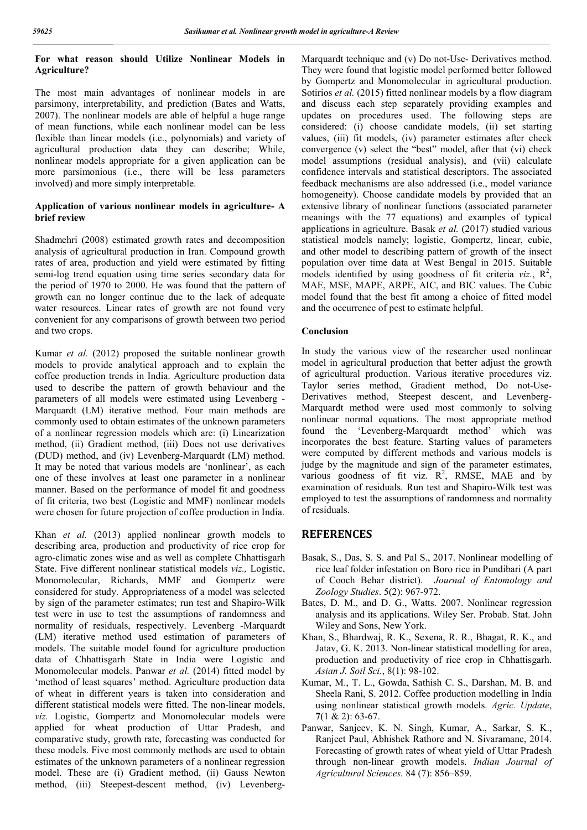## **For what reason should Utilize Nonlinear Models in Agriculture?**

The most main advantages of nonlinear models in are parsimony, interpretability, and prediction (Bates and Watts, 2007). The nonlinear models are able of helpful a huge range of mean functions, while each nonlinear model can be less flexible than linear models (i.e., polynomials) and variety of agricultural production data they can describe; While, nonlinear models appropriate for a given application can be more parsimonious (i.e., there will be less parameters involved) and more simply interpretable.

#### **Application of various nonlinear models in agriculture- A brief review**

Shadmehri (2008) estimated growth rates and decomposition analysis of agricultural production in Iran. Compound growth rates of area, production and yield were estimated by fitting semi-log trend equation using time series secondary data for the period of 1970 to 2000. He was found that the pattern of growth can no longer continue due to the lack of adequate water resources. Linear rates of growth are not found very convenient for any comparisons of growth between two period and two crops.

Kumar *et al.* (2012) proposed the suitable nonlinear growth models to provide analytical approach and to explain the coffee production trends in India. Agriculture production data used to describe the pattern of growth behaviour and the parameters of all models were estimated using Levenberg - Marquardt (LM) iterative method. Four main methods are commonly used to obtain estimates of the unknown parameters of a nonlinear regression models which are: (i) Linearization method, (ii) Gradient method, (iii) Does not use derivatives (DUD) method, and (iv) Levenberg-Marquardt (LM) method. It may be noted that various models are 'nonlinear', as each one of these involves at least one parameter in a nonlinear manner. Based on the performance of model fit and goodness of fit criteria, two best (Logistic and MMF) nonlinear models were chosen for future projection of coffee production in India.

Khan *et al.* (2013) applied nonlinear growth models to describing area, production and productivity of rice crop for agro-climatic zones wise and as well as complete Chhattisgarh State. Five different nonlinear statistical models *viz.,* Logistic, Monomolecular, Richards, MMF and Gompertz were considered for study. Appropriateness of a model was selected by sign of the parameter estimates; run test and Shapiro-Wilk test were in use to test the assumptions of randomness and normality of residuals, respectively. Levenberg -Marquardt (LM) iterative method used estimation of parameters of models. The suitable model found for agriculture production data of Chhattisgarh State in India were Logistic and Monomolecular models. Panwar *et al.* (2014) fitted model by 'method of least squares' method. Agriculture production data of wheat in different years is taken into consideration and different statistical models were fitted. The non-linear models, *viz.* Logistic, Gompertz and Monomolecular models were applied for wheat production of Uttar Pradesh, and comparative study, growth rate, forecasting was conducted for these models. Five most commonly methods are used to obtain estimates of the unknown parameters of a nonlinear regression model. These are (i) Gradient method, (ii) Gauss Newton method, (iii) Steepest-descent method, (iv) LevenbergMarquardt technique and (v) Do not-Use- Derivatives method. They were found that logistic model performed better followed by Gompertz and Monomolecular in agricultural production. Sotirios *et al.* (2015) fitted nonlinear models by a flow diagram and discuss each step separately providing examples and updates on procedures used. The following steps are considered: (i) choose candidate models, (ii) set starting values, (iii) fit models, (iv) parameter estimates after check convergence (v) select the "best" model, after that (vi) check model assumptions (residual analysis), and (vii) calculate confidence intervals and statistical descriptors. The associated feedback mechanisms are also addressed (i.e., model variance homogeneity). Choose candidate models by provided that an extensive library of nonlinear functions (associated parameter meanings with the 77 equations) and examples of typical applications in agriculture. Basak *et al.* (2017) studied various statistical models namely; logistic, Gompertz, linear, cubic, and other model to describing pattern of growth of the insect population over time data at West Bengal in 2015. Suitable models identified by using goodness of fit criteria  $viz, R^2$ , MAE, MSE, MAPE, ARPE, AIC, and BIC values. The Cubic model found that the best fit among a choice of fitted model and the occurrence of pest to estimate helpful.

#### **Conclusion**

In study the various view of the researcher used nonlinear model in agricultural production that better adjust the growth of agricultural production. Various iterative procedures viz. Taylor series method, Gradient method, Do not-Use-Derivatives method, Steepest descent, and Levenberg-Marquardt method were used most commonly to solving nonlinear normal equations. The most appropriate method found the 'Levenberg-Marquardt method' which was incorporates the best feature. Starting values of parameters were computed by different methods and various models is judge by the magnitude and sign of the parameter estimates, various goodness of fit viz.  $R^2$ , RMSE, MAE and by examination of residuals. Run test and Shapiro-Wilk test was employed to test the assumptions of randomness and normality of residuals.

## **REFERENCES**

- Basak, S., Das, S. S. and Pal S., 2017. Nonlinear modelling of rice leaf folder infestation on Boro rice in Pundibari (A part of Cooch Behar district). *Journal of Entomology and Zoology Studies*. 5(2): 967-972.
- Bates, D. M., and D. G., Watts. 2007. Nonlinear regression analysis and its applications. Wiley Ser. Probab. Stat. John Wiley and Sons, New York.
- Khan, S., Bhardwaj, R. K., Sexena, R. R., Bhagat, R. K., and Jatav, G. K. 2013. Non-linear statistical modelling for area, production and productivity of rice crop in Chhattisgarh. *Asian J. Soil Sci.*, 8(1): 98-102.
- Kumar, M., T. L., Gowda, Sathish C. S., Darshan, M. B. and Sheela Rani, S. 2012. Coffee production modelling in India using nonlinear statistical growth models. *Agric. Update*, **7**(1 & 2): 63-67.
- Panwar, Sanjeev, K. N. Singh, Kumar, A., Sarkar, S. K., Ranjeet Paul, Abhishek Rathore and N. Sivaramane, 2014. Forecasting of growth rates of wheat yield of Uttar Pradesh through non-linear growth models. *Indian Journal of Agricultural Sciences.* 84 (7): 856–859.